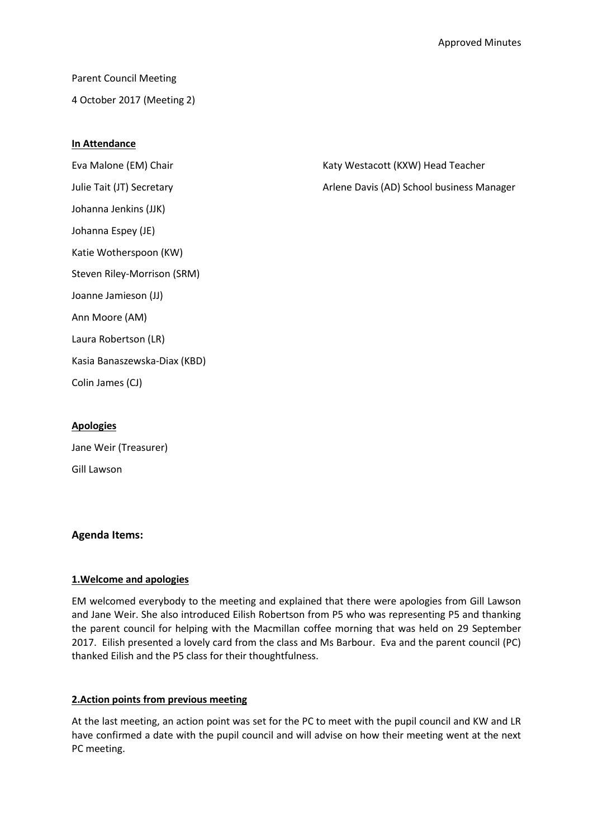Parent Council Meeting 4 October 2017 (Meeting 2)

## **In Attendance**

Julie Tait (JT) Secretary Arlene Davis (AD) School business Manager Johanna Jenkins (JJK) Johanna Espey (JE) Katie Wotherspoon (KW) Steven Riley-Morrison (SRM) Joanne Jamieson (JJ) Ann Moore (AM) Laura Robertson (LR) Kasia Banaszewska-Diax (KBD) Colin James (CJ)

Eva Malone (EM) Chair **Katy Westacott (KXW) Head Teacher** Katy Westacott (KXW) Head Teacher

# **Apologies**

Jane Weir (Treasurer) Gill Lawson

# **Agenda Items:**

# **1.Welcome and apologies**

EM welcomed everybody to the meeting and explained that there were apologies from Gill Lawson and Jane Weir. She also introduced Eilish Robertson from P5 who was representing P5 and thanking the parent council for helping with the Macmillan coffee morning that was held on 29 September 2017. Eilish presented a lovely card from the class and Ms Barbour. Eva and the parent council (PC) thanked Eilish and the P5 class for their thoughtfulness.

### **2.Action points from previous meeting**

At the last meeting, an action point was set for the PC to meet with the pupil council and KW and LR have confirmed a date with the pupil council and will advise on how their meeting went at the next PC meeting.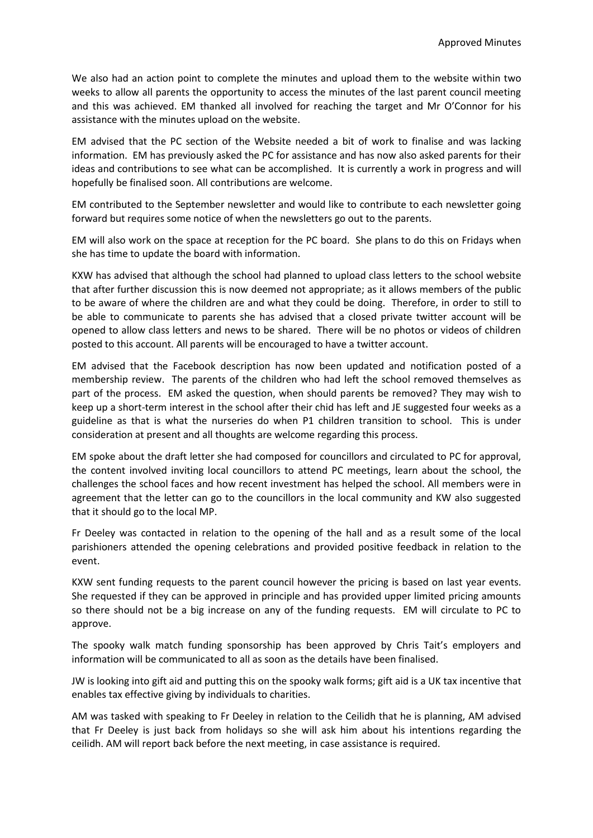We also had an action point to complete the minutes and upload them to the website within two weeks to allow all parents the opportunity to access the minutes of the last parent council meeting and this was achieved. EM thanked all involved for reaching the target and Mr O'Connor for his assistance with the minutes upload on the website.

EM advised that the PC section of the Website needed a bit of work to finalise and was lacking information. EM has previously asked the PC for assistance and has now also asked parents for their ideas and contributions to see what can be accomplished. It is currently a work in progress and will hopefully be finalised soon. All contributions are welcome.

EM contributed to the September newsletter and would like to contribute to each newsletter going forward but requires some notice of when the newsletters go out to the parents.

EM will also work on the space at reception for the PC board. She plans to do this on Fridays when she has time to update the board with information.

KXW has advised that although the school had planned to upload class letters to the school website that after further discussion this is now deemed not appropriate; as it allows members of the public to be aware of where the children are and what they could be doing. Therefore, in order to still to be able to communicate to parents she has advised that a closed private twitter account will be opened to allow class letters and news to be shared. There will be no photos or videos of children posted to this account. All parents will be encouraged to have a twitter account.

EM advised that the Facebook description has now been updated and notification posted of a membership review. The parents of the children who had left the school removed themselves as part of the process. EM asked the question, when should parents be removed? They may wish to keep up a short-term interest in the school after their chid has left and JE suggested four weeks as a guideline as that is what the nurseries do when P1 children transition to school. This is under consideration at present and all thoughts are welcome regarding this process.

EM spoke about the draft letter she had composed for councillors and circulated to PC for approval, the content involved inviting local councillors to attend PC meetings, learn about the school, the challenges the school faces and how recent investment has helped the school. All members were in agreement that the letter can go to the councillors in the local community and KW also suggested that it should go to the local MP.

Fr Deeley was contacted in relation to the opening of the hall and as a result some of the local parishioners attended the opening celebrations and provided positive feedback in relation to the event.

KXW sent funding requests to the parent council however the pricing is based on last year events. She requested if they can be approved in principle and has provided upper limited pricing amounts so there should not be a big increase on any of the funding requests. EM will circulate to PC to approve.

The spooky walk match funding sponsorship has been approved by Chris Tait's employers and information will be communicated to all as soon as the details have been finalised.

JW is looking into gift aid and putting this on the spooky walk forms; gift aid is a UK tax incentive that enables tax effective giving by individuals to charities.

AM was tasked with speaking to Fr Deeley in relation to the Ceilidh that he is planning, AM advised that Fr Deeley is just back from holidays so she will ask him about his intentions regarding the ceilidh. AM will report back before the next meeting, in case assistance is required.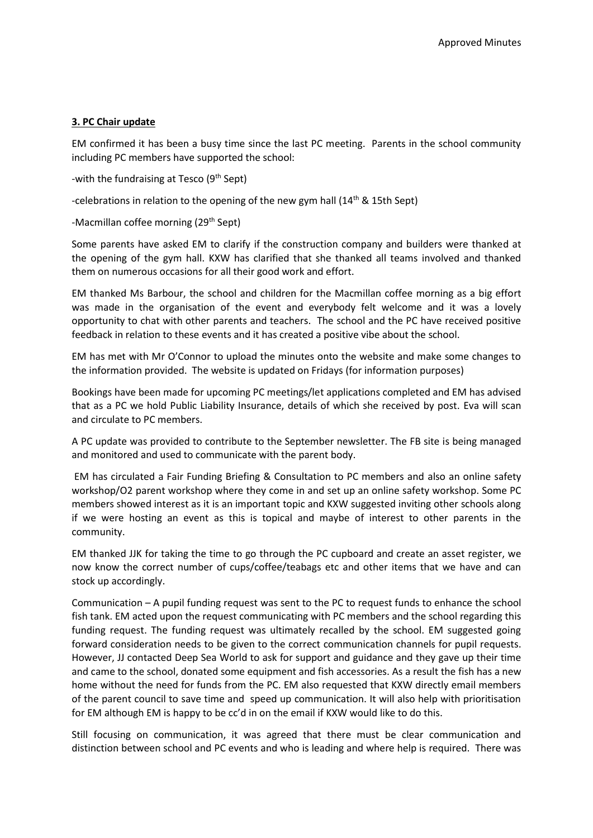### **3. PC Chair update**

EM confirmed it has been a busy time since the last PC meeting. Parents in the school community including PC members have supported the school:

-with the fundraising at Tesco  $(9<sup>th</sup>$  Sept)

-celebrations in relation to the opening of the new gym hall  $(14<sup>th</sup>$  & 15th Sept)

#### -Macmillan coffee morning (29<sup>th</sup> Sept)

Some parents have asked EM to clarify if the construction company and builders were thanked at the opening of the gym hall. KXW has clarified that she thanked all teams involved and thanked them on numerous occasions for all their good work and effort.

EM thanked Ms Barbour, the school and children for the Macmillan coffee morning as a big effort was made in the organisation of the event and everybody felt welcome and it was a lovely opportunity to chat with other parents and teachers. The school and the PC have received positive feedback in relation to these events and it has created a positive vibe about the school.

EM has met with Mr O'Connor to upload the minutes onto the website and make some changes to the information provided. The website is updated on Fridays (for information purposes)

Bookings have been made for upcoming PC meetings/let applications completed and EM has advised that as a PC we hold Public Liability Insurance, details of which she received by post. Eva will scan and circulate to PC members.

A PC update was provided to contribute to the September newsletter. The FB site is being managed and monitored and used to communicate with the parent body.

EM has circulated a Fair Funding Briefing & Consultation to PC members and also an online safety workshop/O2 parent workshop where they come in and set up an online safety workshop. Some PC members showed interest as it is an important topic and KXW suggested inviting other schools along if we were hosting an event as this is topical and maybe of interest to other parents in the community.

EM thanked JJK for taking the time to go through the PC cupboard and create an asset register, we now know the correct number of cups/coffee/teabags etc and other items that we have and can stock up accordingly.

Communication – A pupil funding request was sent to the PC to request funds to enhance the school fish tank. EM acted upon the request communicating with PC members and the school regarding this funding request. The funding request was ultimately recalled by the school. EM suggested going forward consideration needs to be given to the correct communication channels for pupil requests. However, JJ contacted Deep Sea World to ask for support and guidance and they gave up their time and came to the school, donated some equipment and fish accessories. As a result the fish has a new home without the need for funds from the PC. EM also requested that KXW directly email members of the parent council to save time and speed up communication. It will also help with prioritisation for EM although EM is happy to be cc'd in on the email if KXW would like to do this.

Still focusing on communication, it was agreed that there must be clear communication and distinction between school and PC events and who is leading and where help is required. There was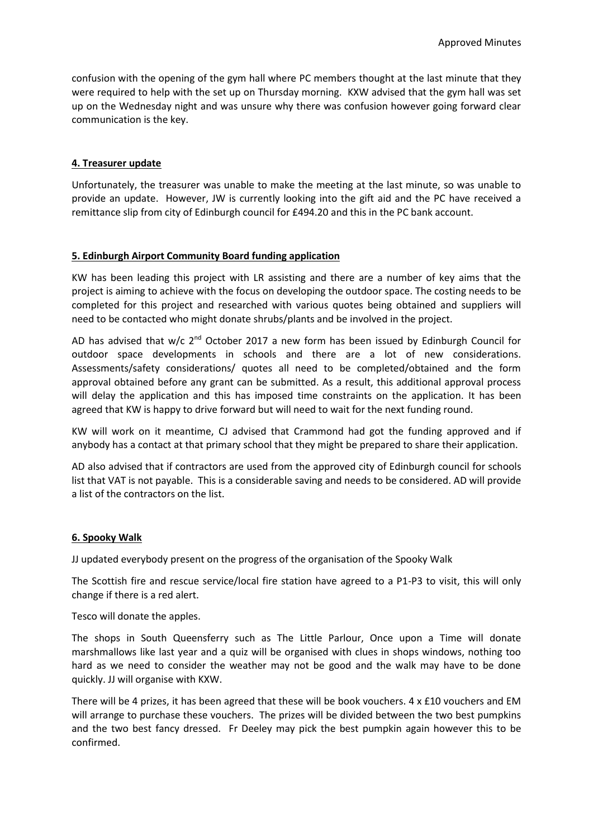confusion with the opening of the gym hall where PC members thought at the last minute that they were required to help with the set up on Thursday morning. KXW advised that the gym hall was set up on the Wednesday night and was unsure why there was confusion however going forward clear communication is the key.

## **4. Treasurer update**

Unfortunately, the treasurer was unable to make the meeting at the last minute, so was unable to provide an update. However, JW is currently looking into the gift aid and the PC have received a remittance slip from city of Edinburgh council for £494.20 and this in the PC bank account.

## **5. Edinburgh Airport Community Board funding application**

KW has been leading this project with LR assisting and there are a number of key aims that the project is aiming to achieve with the focus on developing the outdoor space. The costing needs to be completed for this project and researched with various quotes being obtained and suppliers will need to be contacted who might donate shrubs/plants and be involved in the project.

AD has advised that w/c 2<sup>nd</sup> October 2017 a new form has been issued by Edinburgh Council for outdoor space developments in schools and there are a lot of new considerations. Assessments/safety considerations/ quotes all need to be completed/obtained and the form approval obtained before any grant can be submitted. As a result, this additional approval process will delay the application and this has imposed time constraints on the application. It has been agreed that KW is happy to drive forward but will need to wait for the next funding round.

KW will work on it meantime, CJ advised that Crammond had got the funding approved and if anybody has a contact at that primary school that they might be prepared to share their application.

AD also advised that if contractors are used from the approved city of Edinburgh council for schools list that VAT is not payable. This is a considerable saving and needs to be considered. AD will provide a list of the contractors on the list.

### **6. Spooky Walk**

JJ updated everybody present on the progress of the organisation of the Spooky Walk

The Scottish fire and rescue service/local fire station have agreed to a P1-P3 to visit, this will only change if there is a red alert.

Tesco will donate the apples.

The shops in South Queensferry such as The Little Parlour, Once upon a Time will donate marshmallows like last year and a quiz will be organised with clues in shops windows, nothing too hard as we need to consider the weather may not be good and the walk may have to be done quickly. JJ will organise with KXW.

There will be 4 prizes, it has been agreed that these will be book vouchers.  $4 \times £10$  vouchers and EM will arrange to purchase these vouchers. The prizes will be divided between the two best pumpkins and the two best fancy dressed. Fr Deeley may pick the best pumpkin again however this to be confirmed.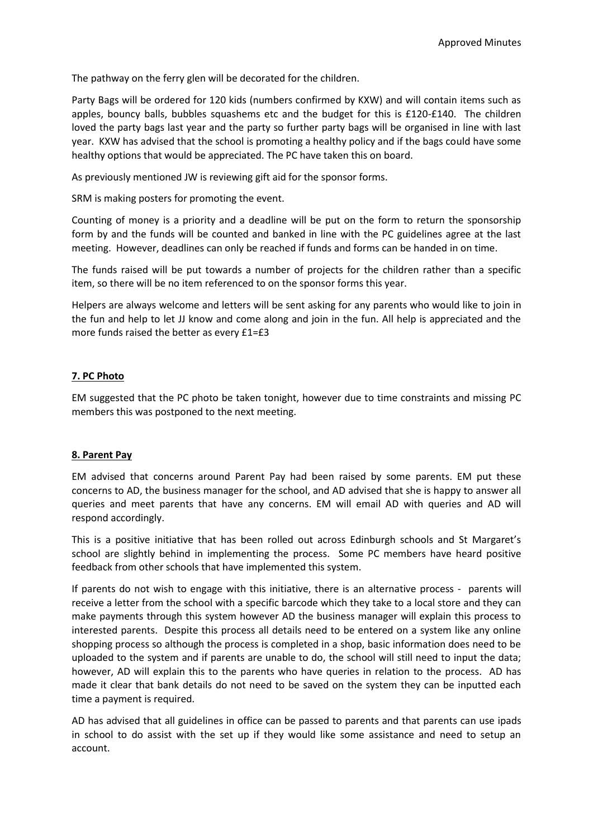The pathway on the ferry glen will be decorated for the children.

Party Bags will be ordered for 120 kids (numbers confirmed by KXW) and will contain items such as apples, bouncy balls, bubbles squashems etc and the budget for this is £120-£140. The children loved the party bags last year and the party so further party bags will be organised in line with last year. KXW has advised that the school is promoting a healthy policy and if the bags could have some healthy options that would be appreciated. The PC have taken this on board.

As previously mentioned JW is reviewing gift aid for the sponsor forms.

SRM is making posters for promoting the event.

Counting of money is a priority and a deadline will be put on the form to return the sponsorship form by and the funds will be counted and banked in line with the PC guidelines agree at the last meeting. However, deadlines can only be reached if funds and forms can be handed in on time.

The funds raised will be put towards a number of projects for the children rather than a specific item, so there will be no item referenced to on the sponsor forms this year.

Helpers are always welcome and letters will be sent asking for any parents who would like to join in the fun and help to let JJ know and come along and join in the fun. All help is appreciated and the more funds raised the better as every £1=£3

### **7. PC Photo**

EM suggested that the PC photo be taken tonight, however due to time constraints and missing PC members this was postponed to the next meeting.

### **8. Parent Pay**

EM advised that concerns around Parent Pay had been raised by some parents. EM put these concerns to AD, the business manager for the school, and AD advised that she is happy to answer all queries and meet parents that have any concerns. EM will email AD with queries and AD will respond accordingly.

This is a positive initiative that has been rolled out across Edinburgh schools and St Margaret's school are slightly behind in implementing the process. Some PC members have heard positive feedback from other schools that have implemented this system.

If parents do not wish to engage with this initiative, there is an alternative process - parents will receive a letter from the school with a specific barcode which they take to a local store and they can make payments through this system however AD the business manager will explain this process to interested parents. Despite this process all details need to be entered on a system like any online shopping process so although the process is completed in a shop, basic information does need to be uploaded to the system and if parents are unable to do, the school will still need to input the data; however, AD will explain this to the parents who have queries in relation to the process. AD has made it clear that bank details do not need to be saved on the system they can be inputted each time a payment is required.

AD has advised that all guidelines in office can be passed to parents and that parents can use ipads in school to do assist with the set up if they would like some assistance and need to setup an account.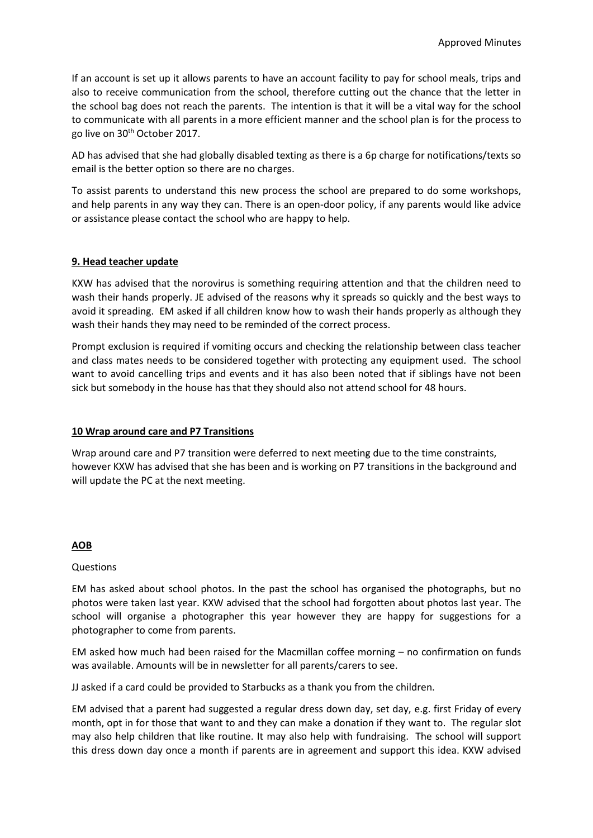If an account is set up it allows parents to have an account facility to pay for school meals, trips and also to receive communication from the school, therefore cutting out the chance that the letter in the school bag does not reach the parents. The intention is that it will be a vital way for the school to communicate with all parents in a more efficient manner and the school plan is for the process to go live on 30<sup>th</sup> October 2017.

AD has advised that she had globally disabled texting as there is a 6p charge for notifications/texts so email is the better option so there are no charges.

To assist parents to understand this new process the school are prepared to do some workshops, and help parents in any way they can. There is an open-door policy, if any parents would like advice or assistance please contact the school who are happy to help.

## **9. Head teacher update**

KXW has advised that the norovirus is something requiring attention and that the children need to wash their hands properly. JE advised of the reasons why it spreads so quickly and the best ways to avoid it spreading. EM asked if all children know how to wash their hands properly as although they wash their hands they may need to be reminded of the correct process.

Prompt exclusion is required if vomiting occurs and checking the relationship between class teacher and class mates needs to be considered together with protecting any equipment used. The school want to avoid cancelling trips and events and it has also been noted that if siblings have not been sick but somebody in the house has that they should also not attend school for 48 hours.

### **10 Wrap around care and P7 Transitions**

Wrap around care and P7 transition were deferred to next meeting due to the time constraints, however KXW has advised that she has been and is working on P7 transitions in the background and will update the PC at the next meeting.

### **AOB**

### **Questions**

EM has asked about school photos. In the past the school has organised the photographs, but no photos were taken last year. KXW advised that the school had forgotten about photos last year. The school will organise a photographer this year however they are happy for suggestions for a photographer to come from parents.

EM asked how much had been raised for the Macmillan coffee morning – no confirmation on funds was available. Amounts will be in newsletter for all parents/carers to see.

JJ asked if a card could be provided to Starbucks as a thank you from the children.

EM advised that a parent had suggested a regular dress down day, set day, e.g. first Friday of every month, opt in for those that want to and they can make a donation if they want to. The regular slot may also help children that like routine. It may also help with fundraising. The school will support this dress down day once a month if parents are in agreement and support this idea. KXW advised